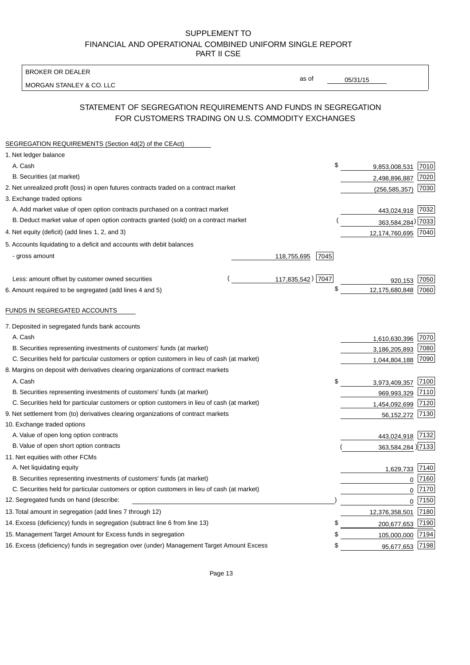BROKER OR DEALER

MORGAN STANLEY & CO. LLC

05/31/15

as of

# STATEMENT OF SEGREGATION REQUIREMENTS AND FUNDS IN SEGREGATION FOR CUSTOMERS TRADING ON U.S. COMMODITY EXCHANGES

| SEGREGATION REQUIREMENTS (Section 4d(2) of the CEAct)                                       |                     |                     |          |
|---------------------------------------------------------------------------------------------|---------------------|---------------------|----------|
| 1. Net ledger balance                                                                       |                     |                     |          |
| A. Cash                                                                                     | \$                  | 9,853,008,531       | 7010     |
| B. Securities (at market)                                                                   |                     | 2,498,896,887       | 7020     |
| 2. Net unrealized profit (loss) in open futures contracts traded on a contract market       |                     | (256, 585, 357)     | 7030     |
| 3. Exchange traded options                                                                  |                     |                     |          |
| A. Add market value of open option contracts purchased on a contract market                 |                     | 443,024,918 7032    |          |
| B. Deduct market value of open option contracts granted (sold) on a contract market         |                     | 363,584,284) 7033   |          |
| 4. Net equity (deficit) (add lines 1, 2, and 3)                                             |                     | 12,174,760,695 7040 |          |
| 5. Accounts liquidating to a deficit and accounts with debit balances                       |                     |                     |          |
| - gross amount                                                                              | 118,755,695<br>7045 |                     |          |
|                                                                                             |                     |                     |          |
| Less: amount offset by customer owned securities                                            | 117,835,542) 7047   | 920,153             | 7050     |
| 6. Amount required to be segregated (add lines 4 and 5)                                     | \$                  | 12,175,680,848      | 7060     |
|                                                                                             |                     |                     |          |
| FUNDS IN SEGREGATED ACCOUNTS                                                                |                     |                     |          |
| 7. Deposited in segregated funds bank accounts                                              |                     |                     |          |
| A. Cash                                                                                     |                     | 1,610,630,396       | 7070     |
| B. Securities representing investments of customers' funds (at market)                      |                     | 3,186,205,893       | 7080     |
| C. Securities held for particular customers or option customers in lieu of cash (at market) |                     | 1,044,804,188       | 7090     |
| 8. Margins on deposit with derivatives clearing organizations of contract markets           |                     |                     |          |
| A. Cash                                                                                     | \$                  | 3,973,409,357       | 7100     |
| B. Securities representing investments of customers' funds (at market)                      |                     | 969,993,329         | 7110     |
| C. Securities held for particular customers or option customers in lieu of cash (at market) |                     | 1,454,092,699       | 7120     |
| 9. Net settlement from (to) derivatives clearing organizations of contract markets          |                     | 56,152,272          | 7130     |
| 10. Exchange traded options                                                                 |                     |                     |          |
| A. Value of open long option contracts                                                      |                     | 443,024,918 7132    |          |
| B. Value of open short option contracts                                                     |                     | 363,584,284) 7133   |          |
| 11. Net equities with other FCMs                                                            |                     |                     |          |
| A. Net liquidating equity                                                                   |                     | 1,629,733           | 7140     |
| B. Securities representing investments of customers' funds (at market)                      |                     | $\mathbf 0$         | 7160     |
| C. Securities held for particular customers or option customers in lieu of cash (at market) |                     | $\mathbf 0$         | 7170     |
| 12. Segregated funds on hand (describe:                                                     |                     |                     | $0$ 7150 |
| 13. Total amount in segregation (add lines 7 through 12)                                    |                     | 12,376,358,501      | 7180     |
| 14. Excess (deficiency) funds in segregation (subtract line 6 from line 13)                 | \$                  | 200,677,653 7190    |          |
| 15. Management Target Amount for Excess funds in segregation                                | \$                  | 105,000,000         | 7194     |
| 16. Excess (deficiency) funds in segregation over (under) Management Target Amount Excess   | \$                  | 95,677,653 7198     |          |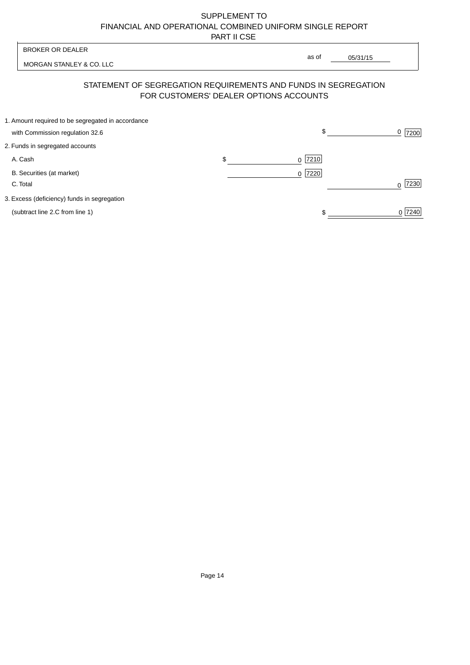| <b>BROKER OR DEALER</b>                                                              | as of                                  |                     |
|--------------------------------------------------------------------------------------|----------------------------------------|---------------------|
| MORGAN STANLEY & CO. LLC                                                             |                                        | 05/31/15            |
| STATEMENT OF SEGREGATION REQUIREMENTS AND FUNDS IN SEGREGATION                       | FOR CUSTOMERS' DEALER OPTIONS ACCOUNTS |                     |
| 1. Amount required to be segregated in accordance<br>with Commission regulation 32.6 | \$                                     | $\frac{0}{2}$  7200 |
| 2. Funds in segregated accounts                                                      |                                        |                     |
| \$<br>A. Cash                                                                        | $ 7210$<br>$\Omega$                    |                     |
| B. Securities (at market)<br>C. Total                                                | 7220<br>$\Omega$                       | 7230                |
| 3. Excess (deficiency) funds in segregation                                          |                                        |                     |
| (subtract line 2.C from line 1)                                                      |                                        | 0 7240              |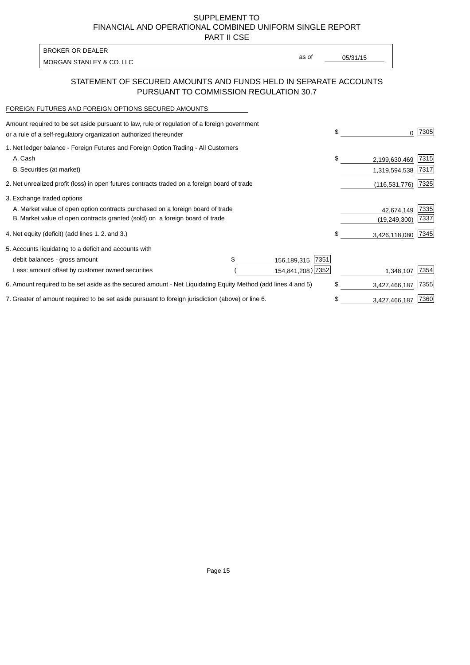PART II CSE

MORGAN STANLEY & CO. LLC and the contract of the contract of the contract of the contract of the contract of the contract of the contract of the contract of the contract of the contract of the contract of the contract of t BROKER OR DEALER

as of

### STATEMENT OF SECURED AMOUNTS AND FUNDS HELD IN SEPARATE ACCOUNTS PURSUANT TO COMMISSION REGULATION 30.7

#### FOREIGN FUTURES AND FOREIGN OPTIONS SECURED AMOUNTS

| Amount required to be set aside pursuant to law, rule or regulation of a foreign government<br>or a rule of a self-regulatory organization authorized thereunder |  |                     | \$         | 0               | 7305 |
|------------------------------------------------------------------------------------------------------------------------------------------------------------------|--|---------------------|------------|-----------------|------|
| 1. Net ledger balance - Foreign Futures and Foreign Option Trading - All Customers                                                                               |  |                     |            |                 |      |
| A. Cash                                                                                                                                                          |  |                     | \$         | 2,199,630,469   | 7315 |
| B. Securities (at market)                                                                                                                                        |  |                     |            | 1,319,594,538   | 7317 |
| 2. Net unrealized profit (loss) in open futures contracts traded on a foreign board of trade                                                                     |  |                     |            | (116, 531, 776) | 7325 |
| 3. Exchange traded options                                                                                                                                       |  |                     |            |                 |      |
| A. Market value of open option contracts purchased on a foreign board of trade                                                                                   |  |                     | 42,674,149 | 7335            |      |
| B. Market value of open contracts granted (sold) on a foreign board of trade                                                                                     |  |                     |            | (19,249,300)    | 7337 |
| 4. Net equity (deficit) (add lines 1.2. and 3.)                                                                                                                  |  |                     | \$.        | 3,426,118,080   | 7345 |
| 5. Accounts liquidating to a deficit and accounts with                                                                                                           |  |                     |            |                 |      |
| debit balances - gross amount                                                                                                                                    |  | 7351<br>156,189,315 |            |                 |      |
| Less: amount offset by customer owned securities                                                                                                                 |  | 154,841,208) 7352   |            | 1,348,107       | 7354 |
| 6. Amount required to be set aside as the secured amount - Net Liquidating Equity Method (add lines 4 and 5)                                                     |  |                     | \$         | 3,427,466,187   | 7355 |
| 7. Greater of amount required to be set aside pursuant to foreign jurisdiction (above) or line 6.                                                                |  |                     | \$         | 3,427,466,187   | 7360 |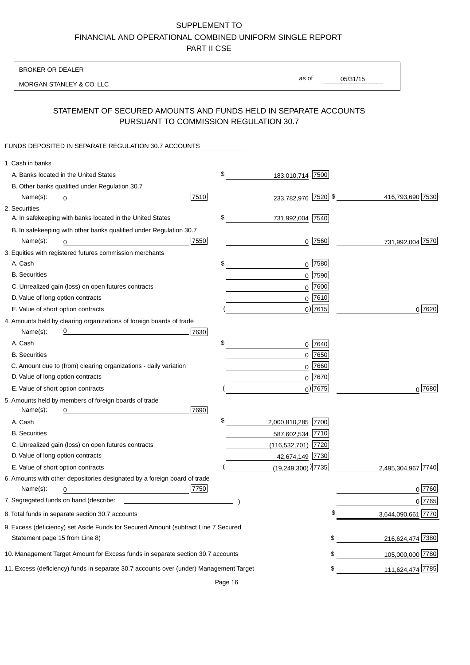BROKER OR DEALER

MORGAN STANLEY & CO. LLC

05/31/15

as of

## STATEMENT OF SECURED AMOUNTS AND FUNDS HELD IN SEPARATE ACCOUNTS PURSUANT TO COMMISSION REGULATION 30.7

### FUNDS DEPOSITED IN SEPARATE REGULATION 30.7 ACCOUNTS

| 1. Cash in banks                                                                                                                         |                                    |                          |
|------------------------------------------------------------------------------------------------------------------------------------------|------------------------------------|--------------------------|
| A. Banks located in the United States                                                                                                    | \$<br>183,010,714 7500             |                          |
| B. Other banks qualified under Regulation 30.7                                                                                           |                                    |                          |
| 7510<br>Name(s):<br>0                                                                                                                    | 233,782,976 7520 \$                | 416,793,690 7530         |
| 2. Securities                                                                                                                            |                                    |                          |
| A. In safekeeping with banks located in the United States                                                                                | \$<br>731,992,004 7540             |                          |
| B. In safekeeping with other banks qualified under Regulation 30.7                                                                       |                                    |                          |
| 7550<br>Name(s):<br>0                                                                                                                    | $0$ 7560                           | 731,992,004 7570         |
| 3. Equities with registered futures commission merchants                                                                                 |                                    |                          |
| A. Cash                                                                                                                                  | \$<br>$0$ 7580                     |                          |
| <b>B.</b> Securities                                                                                                                     | $0$ 7590                           |                          |
| C. Unrealized gain (loss) on open futures contracts                                                                                      | $0$ 7600                           |                          |
| D. Value of long option contracts                                                                                                        | $0$ 7610                           |                          |
| E. Value of short option contracts                                                                                                       | $0$ ) 7615                         | 0 7620                   |
| 4. Amounts held by clearing organizations of foreign boards of trade                                                                     |                                    |                          |
| <u> 1989 - Johann Barn, mars eta bat erroman erroman erroman erroman erroman erroman erroman erroman erroman err</u><br>7630<br>Name(s): |                                    |                          |
| A. Cash                                                                                                                                  | \$<br>0 7640                       |                          |
| <b>B.</b> Securities                                                                                                                     | $0$ 7650                           |                          |
| C. Amount due to (from) clearing organizations - daily variation                                                                         | $0$ 7660                           |                          |
| D. Value of long option contracts                                                                                                        | $0^{7670}$                         |                          |
| E. Value of short option contracts                                                                                                       | $_0$ ) 7675                        | 0 7680                   |
| 5. Amounts held by members of foreign boards of trade                                                                                    |                                    |                          |
| 7690<br>Name(s):<br>0                                                                                                                    |                                    |                          |
| A. Cash                                                                                                                                  | \$<br>2,000,810,285 7700           |                          |
| <b>B.</b> Securities                                                                                                                     | 587,602,534 7710                   |                          |
| C. Unrealized gain (loss) on open futures contracts                                                                                      | (116,532,701) 7720                 |                          |
| D. Value of long option contracts                                                                                                        | 42,674,149 7730                    |                          |
| E. Value of short option contracts                                                                                                       | $(19,249,300)$ <sup>)</sup> [7735] | 2,495,304,967 7740       |
| 6. Amounts with other depositories designated by a foreign board of trade                                                                |                                    |                          |
| 7750<br>Name(s):<br>0                                                                                                                    |                                    | 0 7760                   |
|                                                                                                                                          |                                    | 0 7765                   |
| 8. Total funds in separate section 30.7 accounts                                                                                         |                                    | \$<br>3,644,090,661 7770 |
| 9. Excess (deficiency) set Aside Funds for Secured Amount (subtract Line 7 Secured                                                       |                                    |                          |
| Statement page 15 from Line 8)                                                                                                           |                                    | \$<br>216,624,474 7380   |
| 10. Management Target Amount for Excess funds in separate section 30.7 accounts                                                          |                                    | 105,000,000 7780<br>\$   |
| 11. Excess (deficiency) funds in separate 30.7 accounts over (under) Management Target                                                   |                                    | 111,624,474 7785<br>\$   |